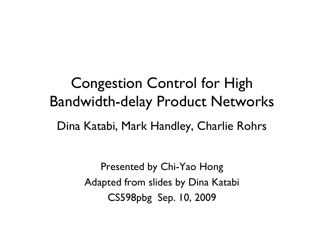Congestion Control for High Bandwidth-delay Product NetworksDina Katabi, Mark Handley, Charlie Rohrs

> Presented by Chi-Yao HongAdapted from slides by Dina Katabi CS598pbg Sep. 10, 2009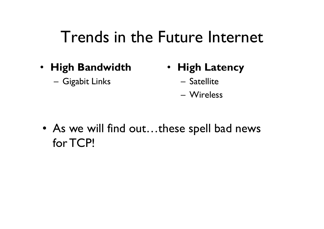#### Trends in the Future Internet

- **High Bandwidth**
	- Gigabit Links
- **High Latency**
	- Satellite
	- Wireless
- As we will find out...these spell bad news<br>for  $T$ CPI for TCP!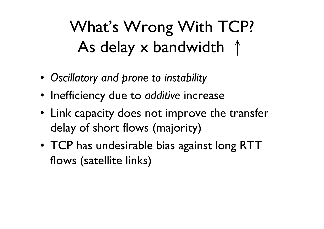# What's Wrong With TCP?As delay x bandwidth  $\uparrow$

- *Oscillatory and prone to instability*
- Inefficiency due to *additive* increase
- Link capacity does not improve the transfer delay of short flows (majority)
- TCP has undesirable bias against long RTT<br>• flows (satellite links) flows (satellite links)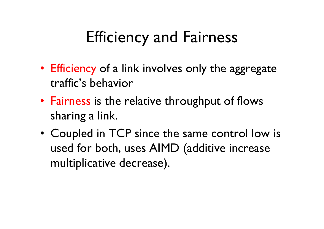## Efficiency and Fairness

- Efficiency of a link involves only the aggregate<br>traffic's hebavior traffic's behavior
- Fairness is the relative throughput of flows<br>sharing a link sharing a link.
- Coupled in TCP since the same control low is<br>I used for both uses AIMD (additive increase used for both, uses AIMD (additive increase multiplicative decrease).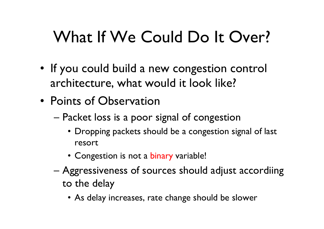# What If We Could Do It Over?

- If you could build a new congestion control<br>Prehitecture what would it look like? architecture, what would it look like?
- Points of Observation<br>Packet loss is a poor a
	- – Packet loss is a poor signal of congestion
		- Dropping packets should be a congestion signal of last resort
		- Congestion is not a binary variable!
	- –Aggressiveness of sources should adjust accordiing<br>to the delay to the delay
		- As delay increases, rate change should be slower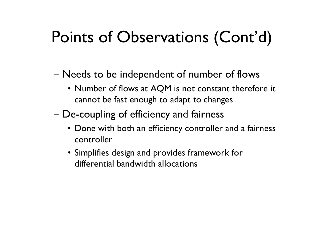## Points of Observations (Cont'd)

- Needs to be independent of number of flows
	- Number of flows at AQM is not constant therefore it cannot be fast enough to adapt to changes cannot be fast enough to adapt to changes
- – De -coupling of efficiency and fairness
	- Done with both an efficiency controller and a fairness<br>controller controller
	- Simplifies design and provides framework for<br>differential bandwidth allocations differential bandwidth allocations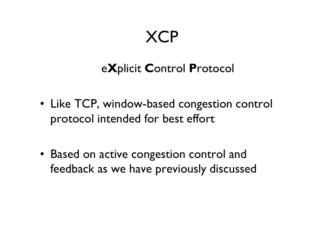#### XCP

#### e**X**plicit **<sup>C</sup>**ontrol **P**rotocol

- Like TCP, window-based congestion control<br>Protocol intended for hest effort protocol intended for best effort
- Based on active congestion control and<br>• feedback as we have previously discusse feedback as we have previously discussed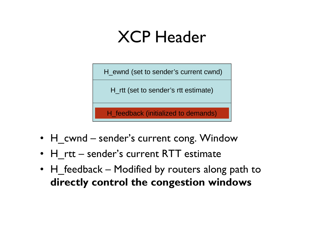### XCP Header

H\_ewnd (set to sender's current cwnd)

H\_rtt (set to sender's rtt estimate)

H\_feedback (initialized to demands)

- H\_cwnd sender's current cong. Window<br>· Ll\_ett\_sesseder's servesst BTT\_setiments
- H\_rtt sender's current RTT estimate<br>• H\_Centle et an altitude and alternative
- H\_feedback Modified by routers along path to<br>directly control the congestion windows **directly control the congestion windows**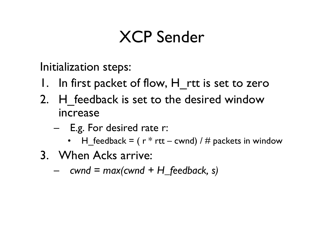## XCP Sender

Initialization steps:

- 1. In first packet of flow, H rtt is set to zero
- 2. H feedback is set to the desired window increase
	- –E.g. For desired rate r:<br>• H feedback = (  $r * r$ rt.
		- •H\_feedback = ( $r * rt - cwnd$ ) / # packets in window
- 3. When Acks arrive:
	- *cwnd = max(cwnd + H\_feedback, s)*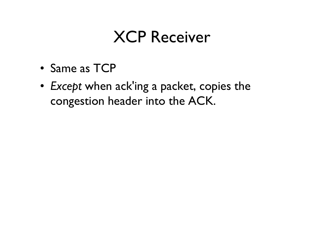#### XCP Receiver

- Same as TCP
- • *Except* when ack'ing a packet, copies the congestion header into the ACK.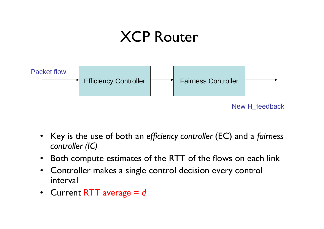#### XCP Router



- Key is the use of both an *efficiency controller* (EC) and a *fairness controller (IC)*
- $\bullet$ Both compute estimates of the RTT of the flows on each link
- $\bullet$  Controller makes a single control decision every control interval
- Current RTT average = *<sup>d</sup>*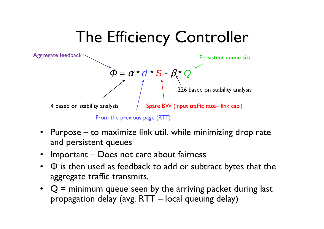# The Efficiency Controller



- Purpose to maximize link util. while minimizing drop rate and persistent queues
- Important Does not care about fairness<br>• Chis then used as foodback to add or subt
- $\Phi$  is then used as feedback to add or subtract bytes that the aggrosite traffic transmits aggregate traffic transmits.
- $Q =$  minimum queue seen by the arriving packet during last<br>• propagation delay (avg.  $RTT -$  local queuing delay) propagation delay (avg. RTT – local queuing delay)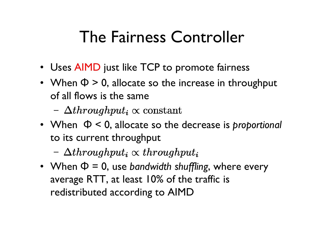## The Fairness Controller

- Uses AIMD just like TCP to promote fairness
- When  $\Phi > 0$ , allocate so the increase in throughput<br>
of all flows is the same of all flows is the same
	- $-\Delta throwghput_i \propto constant$
- When Φ < 0, allocate so the decrease is *proportional* to its current throughput
	- $\Delta$ throughput<sub>i</sub>  $\propto$  throughput<sub>i</sub>
- When  $\Phi = 0$ , use *bandwidth shuffling*, where every<br>average RTT at least  $10\%$  of the traffic is average RTT, at least 10% of the traffic is redistributed according to AIMD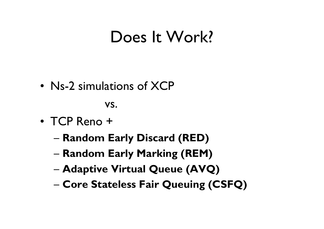#### Does It Work?

• Ns-2 simulations of XCP

vs.

- TCP Reno +
	- –**Random Early Discard (RED)**
	- –**Random Early Marking (REM)**
	- –**Adaptive Virtual Queue (AVQ)**
	- **Core Stateless Fair Queuing (CSFQ)**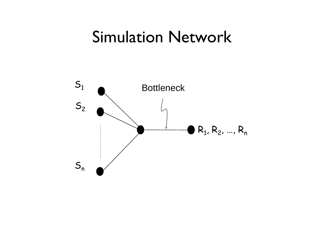#### Simulation Network

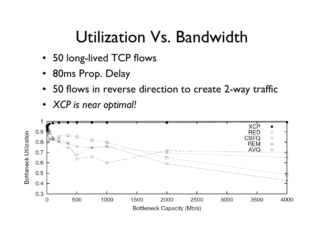#### Utilization Vs. Bandwidth

- 50 long-lived TCP flows
- 80ms Prop. Delay
- •50 flows in reverse direction to create 2-way traffic
- *XCP is near optimal!*

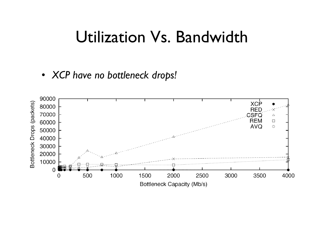#### Utilization Vs. Bandwidth

• *XCP have no bottleneck drops!*

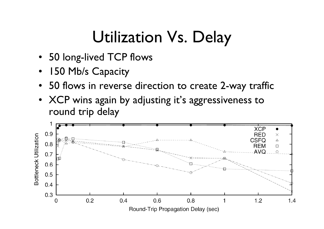## Utilization Vs. Delay

- 50 long-lived TCP flows<br>• IEO Mb*le Capagity*
- 150 Mb/s Capacity<br>• 50 flows in reverse
- 50 flows in reverse direction to create 2-way traffic<br>• YCP wins assin by adjusting it's assuessiveness to
- XCP wins again by adjusting it's aggressiveness to round trip delay

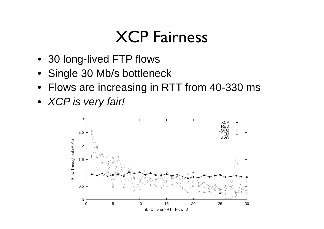#### XCP Fairness

- 30 long-lived FTP flows
- Single 30 Mb/s bottleneck
- Flows are increasing in RTT from 40-330 ms
- XCP is very fair!

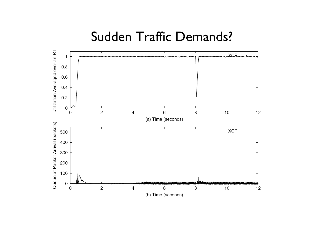#### Sudden Traffic Demands?

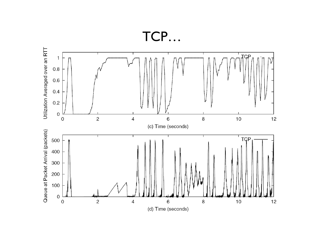

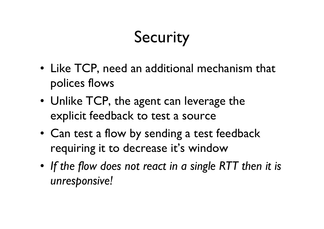# Security

- Like TCP, need an additional mechanism that nolices flows polices flows
- Unlike TCP, the agent can leverage the<br>explicit feedback to test a source explicit feedback to test a source
- Can test a flow by sending a test feedback<br>requiring it to decrease it's window requiring it to decrease it's window
- *If the flow does not react in a single RTT then it is unresponsive!*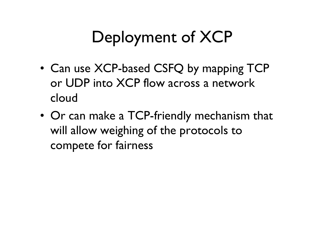## Deployment of XCP

- Can use XCP-based CSFQ by mapping TCP<br>
or LIDP into XCP flow across a network or UDP into XCP flow across a network cloud
- Or can make a TCP-friendly mechanism that will allow weighing of the protocols to compete for fairness